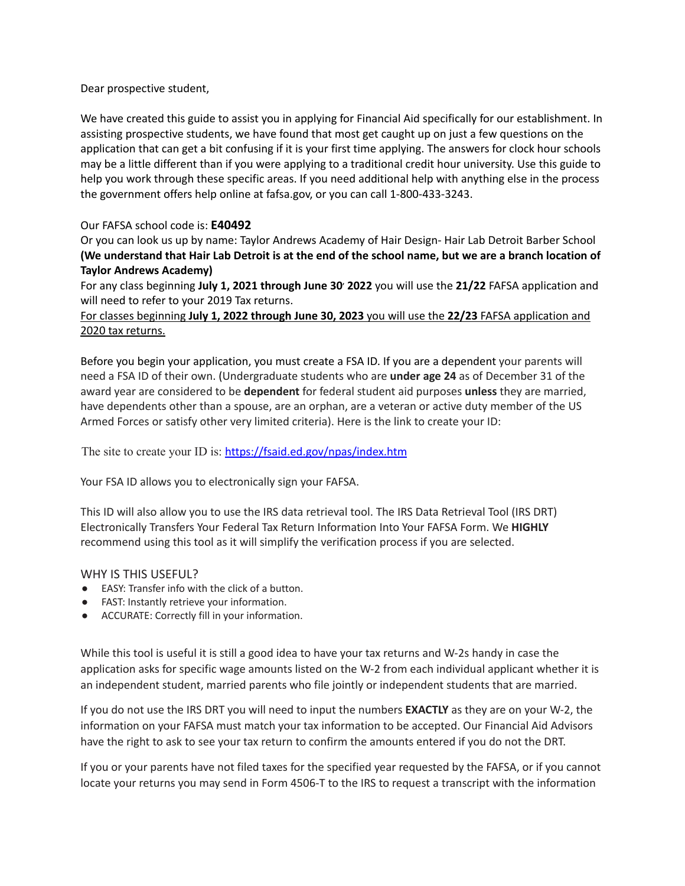Dear prospective student,

We have created this guide to assist you in applying for Financial Aid specifically for our establishment. In assisting prospective students, we have found that most get caught up on just a few questions on the application that can get a bit confusing if it is your first time applying. The answers for clock hour schools may be a little different than if you were applying to a traditional credit hour university. Use this guide to help you work through these specific areas. If you need additional help with anything else in the process the government offers help online at fafsa.gov, or you can call 1-800-433-3243.

## Our FAFSA school code is: **E40492**

Or you can look us up by name: Taylor Andrews Academy of Hair Design- Hair Lab Detroit Barber School (We understand that Hair Lab Detroit is at the end of the school name, but we are a branch location of **Taylor Andrews Academy)**

For any class beginning **July 1, 2021 through June 30 , 2022** you will use the **21/22** FAFSA application and will need to refer to your 2019 Tax returns.

# For classes beginning **July 1, 2022 through June 30, 2023** you will use the **22/23** FAFSA application and 2020 tax returns.

Before you begin your application, you must create a FSA ID. If you are a dependent your parents will need a FSA ID of their own. (Undergraduate students who are **under age 24** as of December 31 of the award year are considered to be **dependent** for federal student aid purposes **unless** they are married, have dependents other than a spouse, are an orphan, are a veteran or active duty member of the US Armed Forces or satisfy other very limited criteria). Here is the link to create your ID:

The site to create your ID is: <https://fsaid.ed.gov/npas/index.htm>

Your FSA ID allows you to electronically sign your FAFSA.

This ID will also allow you to use the IRS data retrieval tool. The IRS Data Retrieval Tool (IRS DRT) Electronically Transfers Your Federal Tax Return Information Into Your FAFSA Form. We **HIGHLY** recommend using this tool as it will simplify the verification process if you are selected.

#### WHY IS THIS USEFUL?

- EASY: Transfer info with the click of a button.
- FAST: Instantly retrieve your information.
- ACCURATE: Correctly fill in your information.

While this tool is useful it is still a good idea to have your tax returns and W-2s handy in case the application asks for specific wage amounts listed on the W-2 from each individual applicant whether it is an independent student, married parents who file jointly or independent students that are married.

If you do not use the IRS DRT you will need to input the numbers **EXACTLY** as they are on your W-2, the information on your FAFSA must match your tax information to be accepted. Our Financial Aid Advisors have the right to ask to see your tax return to confirm the amounts entered if you do not the DRT.

If you or your parents have not filed taxes for the specified year requested by the FAFSA, or if you cannot locate your returns you may send in Form 4506-T to the IRS to request a transcript with the information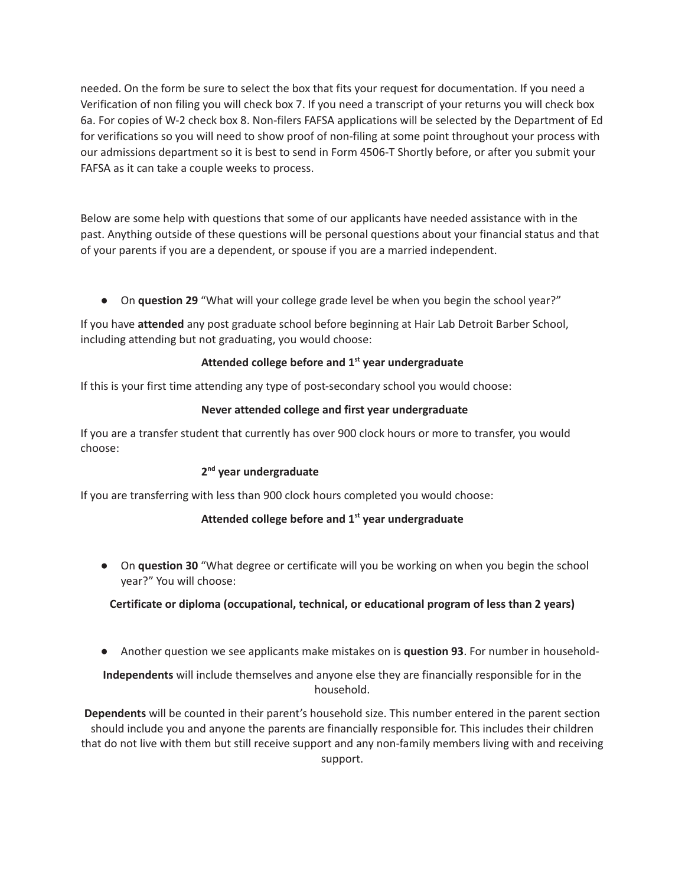needed. On the form be sure to select the box that fits your request for documentation. If you need a Verification of non filing you will check box 7. If you need a transcript of your returns you will check box 6a. For copies of W-2 check box 8. Non-filers FAFSA applications will be selected by the Department of Ed for verifications so you will need to show proof of non-filing at some point throughout your process with our admissions department so it is best to send in Form 4506-T Shortly before, or after you submit your FAFSA as it can take a couple weeks to process.

Below are some help with questions that some of our applicants have needed assistance with in the past. Anything outside of these questions will be personal questions about your financial status and that of your parents if you are a dependent, or spouse if you are a married independent.

● On **question 29** "What will your college grade level be when you begin the school year?"

If you have **attended** any post graduate school before beginning at Hair Lab Detroit Barber School, including attending but not graduating, you would choose:

# **Attended college before and 1 st year undergraduate**

If this is your first time attending any type of post-secondary school you would choose:

## **Never attended college and first year undergraduate**

If you are a transfer student that currently has over 900 clock hours or more to transfer, you would choose:

# **2 nd year undergraduate**

If you are transferring with less than 900 clock hours completed you would choose:

#### **Attended college before and 1 st year undergraduate**

● On **question 30** "What degree or certificate will you be working on when you begin the school year?" You will choose:

# **Certificate or diploma (occupational, technical, or educational program of less than 2 years)**

● Another question we see applicants make mistakes on is **question 93**. For number in household-

**Independents** will include themselves and anyone else they are financially responsible for in the household.

**Dependents** will be counted in their parent's household size. This number entered in the parent section should include you and anyone the parents are financially responsible for. This includes their children that do not live with them but still receive support and any non-family members living with and receiving support.